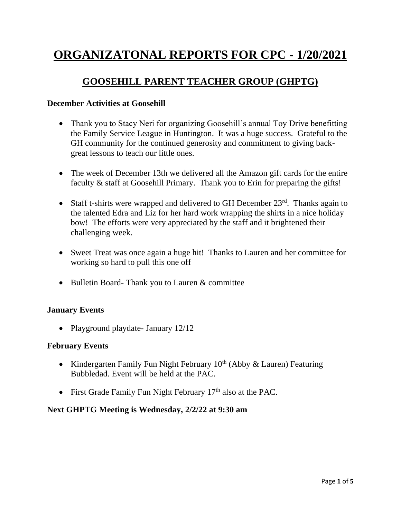# **ORGANIZATONAL REPORTS FOR CPC - 1/20/2021**

# **GOOSEHILL PARENT TEACHER GROUP (GHPTG)**

#### **December Activities at Goosehill**

- Thank you to Stacy Neri for organizing Goosehill's annual Toy Drive benefitting the Family Service League in Huntington. It was a huge success. Grateful to the GH community for the continued generosity and commitment to giving backgreat lessons to teach our little ones.
- The week of December 13th we delivered all the Amazon gift cards for the entire faculty & staff at Goosehill Primary. Thank you to Erin for preparing the gifts!
- Staff t-shirts were wrapped and delivered to GH December  $23<sup>rd</sup>$ . Thanks again to the talented Edra and Liz for her hard work wrapping the shirts in a nice holiday bow! The efforts were very appreciated by the staff and it brightened their challenging week.
- Sweet Treat was once again a huge hit! Thanks to Lauren and her committee for working so hard to pull this one off
- Bulletin Board- Thank you to Lauren & committee

### **January Events**

• Playground playdate - January 12/12

#### **February Events**

- Kindergarten Family Fun Night February  $10<sup>th</sup>$  (Abby & Lauren) Featuring Bubbledad. Event will be held at the PAC.
- First Grade Family Fun Night February  $17<sup>th</sup>$  also at the PAC.

### **Next GHPTG Meeting is Wednesday, 2/2/22 at 9:30 am**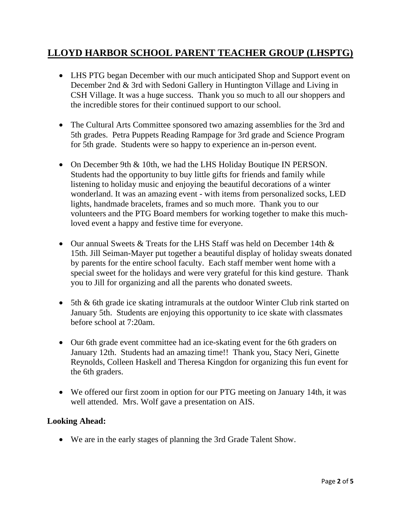# **LLOYD HARBOR SCHOOL PARENT TEACHER GROUP (LHSPTG)**

- LHS PTG began December with our much anticipated Shop and Support event on December 2nd & 3rd with Sedoni Gallery in Huntington Village and Living in CSH Village. It was a huge success. Thank you so much to all our shoppers and the incredible stores for their continued support to our school.
- The Cultural Arts Committee sponsored two amazing assemblies for the 3rd and 5th grades. Petra Puppets Reading Rampage for 3rd grade and Science Program for 5th grade. Students were so happy to experience an in-person event.
- On December 9th & 10th, we had the LHS Holiday Boutique IN PERSON. Students had the opportunity to buy little gifts for friends and family while listening to holiday music and enjoying the beautiful decorations of a winter wonderland. It was an amazing event - with items from personalized socks, LED lights, handmade bracelets, frames and so much more. Thank you to our volunteers and the PTG Board members for working together to make this muchloved event a happy and festive time for everyone.
- Our annual Sweets  $\&$  Treats for the LHS Staff was held on December 14th  $\&$ 15th. Jill Seiman-Mayer put together a beautiful display of holiday sweats donated by parents for the entire school faculty. Each staff member went home with a special sweet for the holidays and were very grateful for this kind gesture. Thank you to Jill for organizing and all the parents who donated sweets.
- 5th & 6th grade ice skating intramurals at the outdoor Winter Club rink started on January 5th. Students are enjoying this opportunity to ice skate with classmates before school at 7:20am.
- Our 6th grade event committee had an ice-skating event for the 6th graders on January 12th. Students had an amazing time!! Thank you, Stacy Neri, Ginette Reynolds, Colleen Haskell and Theresa Kingdon for organizing this fun event for the 6th graders.
- We offered our first zoom in option for our PTG meeting on January 14th, it was well attended. Mrs. Wolf gave a presentation on AIS.

### **Looking Ahead:**

• We are in the early stages of planning the 3rd Grade Talent Show.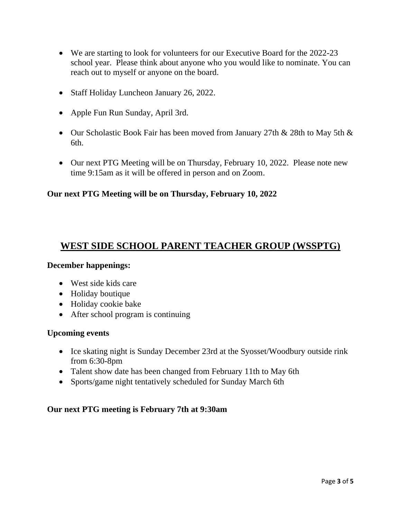- We are starting to look for volunteers for our Executive Board for the 2022-23 school year. Please think about anyone who you would like to nominate. You can reach out to myself or anyone on the board.
- Staff Holiday Luncheon January 26, 2022.
- Apple Fun Run Sunday, April 3rd.
- Our Scholastic Book Fair has been moved from January 27th & 28th to May 5th & 6th.
- Our next PTG Meeting will be on Thursday, February 10, 2022. Please note new time 9:15am as it will be offered in person and on Zoom.

## **Our next PTG Meeting will be on Thursday, February 10, 2022**

# **WEST SIDE SCHOOL PARENT TEACHER GROUP (WSSPTG)**

### **December happenings:**

- West side kids care
- Holiday boutique
- Holiday cookie bake
- After school program is continuing

### **Upcoming events**

- Ice skating night is Sunday December 23rd at the Syosset/Woodbury outside rink from 6:30-8pm
- Talent show date has been changed from February 11th to May 6th
- Sports/game night tentatively scheduled for Sunday March 6th

### **Our next PTG meeting is February 7th at 9:30am**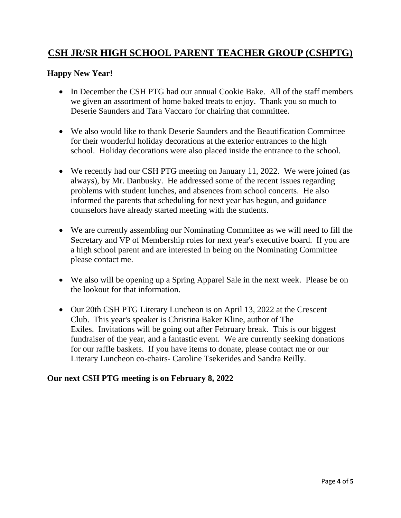# **CSH JR/SR HIGH SCHOOL PARENT TEACHER GROUP (CSHPTG)**

### **Happy New Year!**

- In December the CSH PTG had our annual Cookie Bake. All of the staff members we given an assortment of home baked treats to enjoy. Thank you so much to Deserie Saunders and Tara Vaccaro for chairing that committee.
- We also would like to thank Deserie Saunders and the Beautification Committee for their wonderful holiday decorations at the exterior entrances to the high school. Holiday decorations were also placed inside the entrance to the school.
- We recently had our CSH PTG meeting on January 11, 2022. We were joined (as always), by Mr. Danbusky. He addressed some of the recent issues regarding problems with student lunches, and absences from school concerts. He also informed the parents that scheduling for next year has begun, and guidance counselors have already started meeting with the students.
- We are currently assembling our Nominating Committee as we will need to fill the Secretary and VP of Membership roles for next year's executive board. If you are a high school parent and are interested in being on the Nominating Committee please contact me.
- We also will be opening up a Spring Apparel Sale in the next week. Please be on the lookout for that information.
- Our 20th CSH PTG Literary Luncheon is on April 13, 2022 at the Crescent Club. This year's speaker is Christina Baker Kline, author of The Exiles. Invitations will be going out after February break. This is our biggest fundraiser of the year, and a fantastic event. We are currently seeking donations for our raffle baskets. If you have items to donate, please contact me or our Literary Luncheon co-chairs- Caroline Tsekerides and Sandra Reilly.

### **Our next CSH PTG meeting is on February 8, 2022**